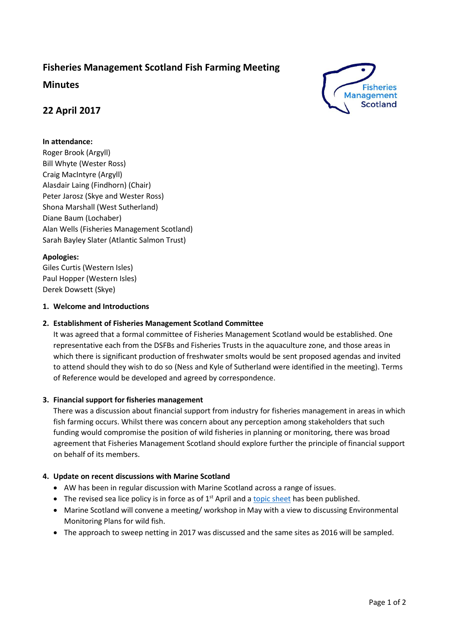# **Fisheries Management Scotland Fish Farming Meeting**

**Minutes**

## **22 April 2017**

#### **In attendance:**

Roger Brook (Argyll) Bill Whyte (Wester Ross) Craig MacIntyre (Argyll) Alasdair Laing (Findhorn) (Chair) Peter Jarosz (Skye and Wester Ross) Shona Marshall (West Sutherland) Diane Baum (Lochaber) Alan Wells (Fisheries Management Scotland) Sarah Bayley Slater (Atlantic Salmon Trust)

#### **Apologies:**

Giles Curtis (Western Isles) Paul Hopper (Western Isles) Derek Dowsett (Skye)

#### **1. Welcome and Introductions**

#### **2. Establishment of Fisheries Management Scotland Committee**

It was agreed that a formal committee of Fisheries Management Scotland would be established. One representative each from the DSFBs and Fisheries Trusts in the aquaculture zone, and those areas in which there is significant production of freshwater smolts would be sent proposed agendas and invited to attend should they wish to do so (Ness and Kyle of Sutherland were identified in the meeting). Terms of Reference would be developed and agreed by correspondence.

## **3. Financial support for fisheries management**

There was a discussion about financial support from industry for fisheries management in areas in which fish farming occurs. Whilst there was concern about any perception among stakeholders that such funding would compromise the position of wild fisheries in planning or monitoring, there was broad agreement that Fisheries Management Scotland should explore further the principle of financial support on behalf of its members.

#### **4. Update on recent discussions with Marine Scotland**

- AW has been in regular discussion with Marine Scotland across a range of issues.
- The revised sea lice policy is in force as of  $1<sup>st</sup>$  April and a [topic sheet](http://www.gov.scot/Resource/0051/00516518.pdf) has been published.
- Marine Scotland will convene a meeting/ workshop in May with a view to discussing Environmental Monitoring Plans for wild fish.
- The approach to sweep netting in 2017 was discussed and the same sites as 2016 will be sampled.